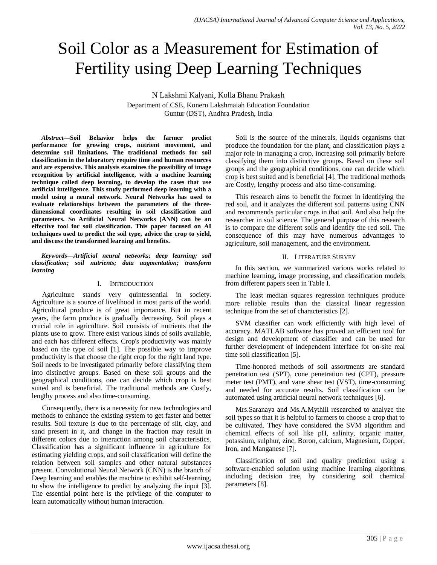# Soil Color as a Measurement for Estimation of Fertility using Deep Learning Techniques

N Lakshmi Kalyani, Kolla Bhanu Prakash

Department of CSE, Koneru Lakshmaiah Education Foundation Guntur (DST), Andhra Pradesh, India

*Abstract***—Soil Behavior helps the farmer predict performance for growing crops, nutrient movement, and determine soil limitations. The traditional methods for soil classification in the laboratory require time and human resources and are expensive. This analysis examines the possibility of image recognition by artificial intelligence, with a machine learning technique called deep learning, to develop the cases that use artificial intelligence. This study performed deep learning with a model using a neural network. Neural Networks has used to evaluate relationships between the parameters of the threedimensional coordinates resulting in soil classification and parameters. So Artificial Neural Networks (ANN) can be an effective tool for soil classification. This paper focused on AI techniques used to predict the soil type, advice the crop to yield, and discuss the transformed learning and benefits.**

*Keywords—Artificial neural networks; deep learning; soil classification; soil nutrients; data augmentation; transform learning*

#### I. INTRODUCTION

Agriculture stands very quintessential in society. Agriculture is a source of livelihood in most parts of the world. Agricultural produce is of great importance. But in recent years, the farm produce is gradually decreasing. Soil plays a crucial role in agriculture. Soil consists of nutrients that the plants use to grow. There exist various kinds of soils available, and each has different effects. Crop's productivity was mainly based on the type of soil [1]. The possible way to improve productivity is that choose the right crop for the right land type. Soil needs to be investigated primarily before classifying them into distinctive groups. Based on these soil groups and the geographical conditions, one can decide which crop is best suited and is beneficial. The traditional methods are Costly, lengthy process and also time-consuming.

Consequently, there is a necessity for new technologies and methods to enhance the existing system to get faster and better results. Soil texture is due to the percentage of silt, clay, and sand present in it, and change in the fraction may result in different colors due to interaction among soil characteristics. Classification has a significant influence in agriculture for estimating yielding crops, and soil classification will define the relation between soil samples and other natural substances present. Convolutional Neural Network (CNN) is the branch of Deep learning and enables the machine to exhibit self-learning, to show the intelligence to predict by analyzing the input [3]. The essential point here is the privilege of the computer to learn automatically without human interaction.

Soil is the source of the minerals, liquids organisms that produce the foundation for the plant, and classification plays a major role in managing a crop, increasing soil primarily before classifying them into distinctive groups. Based on these soil groups and the geographical conditions, one can decide which crop is best suited and is beneficial [4]. The traditional methods are Costly, lengthy process and also time-consuming.

This research aims to benefit the former in identifying the red soil, and it analyzes the different soil patterns using CNN and recommends particular crops in that soil. And also help the researcher in soil science. The general purpose of this research is to compare the different soils and identify the red soil. The consequence of this may have numerous advantages to agriculture, soil management, and the environment.

### II. LITERATURE SURVEY

In this section, we summarized various works related to machine learning, image processing, and classification models from different papers seen in Table I.

The least median squares regression techniques produce more reliable results than the classical linear regression technique from the set of characteristics [2].

SVM classifier can work efficiently with high level of accuracy. MATLAB software has proved an efficient tool for design and development of classifier and can be used for further development of independent interface for on-site real time soil classification [5].

Time-honored methods of soil assortments are standard penetration test (SPT), cone penetration test (CPT), pressure meter test (PMT), and vane shear test (VST), time-consuming and needed for accurate results. Soil classification can be automated using artificial neural network techniques [6].

Mrs.Saranaya and Ms.A.Mythili researched to analyze the soil types so that it is helpful to farmers to choose a crop that to be cultivated. They have considered the SVM algorithm and chemical effects of soil like pH, salinity, organic matter, potassium, sulphur, zinc, Boron, calcium, Magnesium, Copper, Iron, and Manganese [7].

Classification of soil and quality prediction using a software-enabled solution using machine learning algorithms including decision tree, by considering soil chemical parameters [8].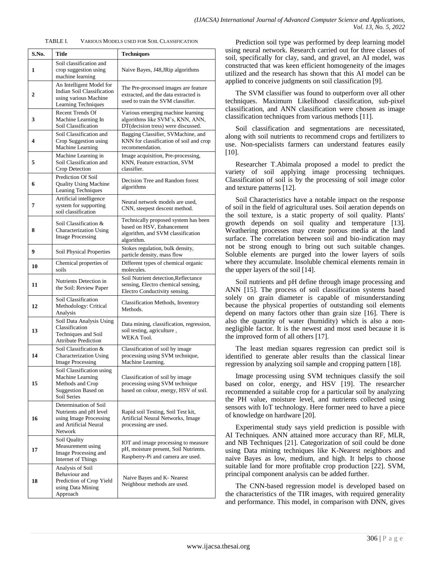TABLE I. VARIOUS MODELS USED FOR SOIL CLASSIFICATION

| S.No. | Title                                                                                                          | <b>Techniques</b>                                                                                                    |
|-------|----------------------------------------------------------------------------------------------------------------|----------------------------------------------------------------------------------------------------------------------|
| 1     | Soil classification and<br>crop suggestion using<br>machine learning                                           | Naive Bayes, J48, JRip algorithms                                                                                    |
| 2     | An Intelligent Model for<br>Indian Soil Classification<br>using various Machine<br>Learning Techniques         | The Pre-processed images are feature<br>extracted, and the data extracted is<br>used to train the SVM classifier.    |
| 3     | Recent Trends Of<br>Machine Learning In<br>Soil Classification                                                 | Various emerging machine learning<br>algorithms like SVM's, KNN, ANN,<br>DT(decision tress) were discussed.          |
| 4     | Soil Classification and<br>Crop Suggestion using<br>Machine Learning                                           | Bagging Classifier, SVMachine, and<br>KNN for classification of soil and crop<br>recommendation.                     |
| 5     | Machine Learning in<br>Soil Classification and<br>Crop Detection                                               | Image acquisition, Pre-processing,<br>KNN, Feature extraction, SVM<br>classifier.                                    |
| 6     | Prediction Of Soil<br><b>Quality Using Machine</b><br>Leaning Techniques                                       | Decision Tree and Random forest<br>algorithms                                                                        |
| 7     | Artificial intelligence<br>system for supporting<br>soil classification                                        | Neural network models are used,<br>CNN, steepest descent method.                                                     |
| 8     | Soil Classification &<br><b>Characterization Using</b><br><b>Image Processing</b>                              | Technically proposed system has been<br>based on HSV, Enhancement<br>algorithm, and SVM classification<br>algorithm. |
| 9     | Soil Physical Properties                                                                                       | Stokes regulation, bulk density,<br>particle density, mass flow                                                      |
| 10    | Chemical properties of<br>soils                                                                                | Different types of chemical organic<br>molecules.                                                                    |
| 11    | Nutrients Detection in<br>the Soil: Review Paper                                                               | Soil Nutrient detection, Reflectance<br>sensing, Electro chemical sensing,<br>Electro Conductivity sensing.          |
| 12    | Soil Classification<br>Methodology: Critical<br>Analysis                                                       | Classification Methods, Inventory<br>Methods.                                                                        |
| 13    | Soil Data Analysis Using<br>Classification<br>Techniques and Soil<br><b>Attribute Prediction</b>               | Data mining, classification, regression,<br>soil testing, agriculture,<br>WEKA Tool.                                 |
| 14    | Soil Classification &<br><b>Characterization Using</b><br><b>Image Processing</b>                              | Classification of soil by image<br>processing using SVM technique,<br>Machine Learning.                              |
| 15    | Soil Classification using<br>Machine Learning<br>Methods and Crop<br><b>Suggestion Based on</b><br>Soil Series | Classification of soil by image<br>processing using SVM technique<br>based on colour, energy, HSV of soil.           |
| 16    | Determination of Soil<br>Nutrients and pH level<br>using Image Processing<br>and Artificial Neural<br>Network  | Rapid soil Testing, Soil Test kit,<br>Artificial Neural Networks, Image<br>processing are used.                      |
| 17    | Soil Quality<br>Measurement using<br>Image Processing and<br>Internet of Things                                | IOT and image processing to measure<br>pH, moisture present, Soil Nutrients.<br>Raspberry-Pi and camera are used.    |
| 18    | Analysis of Soil<br>Behaviour and<br>Prediction of Crop Yield<br>using Data Mining<br>Approach                 | Naive Bayes and K- Nearest<br>Neighbour methods are used.                                                            |

Prediction soil type was performed by deep learning model using neural network. Research carried out for three classes of soil, specifically for clay, sand, and gravel, an AI model, was constructed that was keen efficient homogeneity of the images utilized and the research has shown that this AI model can be applied to conceive judgments on soil classification [9].

The SVM classifier was found to outperform over all other techniques. Maximum Likelihood classification, sub-pixel classification, and ANN classification were chosen as image classification techniques from various methods [11].

Soil classification and segmentations are necessitated, along with soil nutrients to recommend crops and fertilizers to use. Non-specialists farmers can understand features easily [10].

Researcher T.Abimala proposed a model to predict the variety of soil applying image processing techniques. Classification of soil is by the processing of soil image color and texture patterns [12].

Soil Characteristics have a notable impact on the response of soil in the field of agricultural uses. Soil aeration depends on the soil texture, is a static property of soil quality. Plants' growth depends on soil quality and temperature [13]. Weathering processes may create porous media at the land surface. The correlation between soil and bio-indication may not be strong enough to bring out such suitable changes. Soluble elements are purged into the lower layers of soils where they accumulate. Insoluble chemical elements remain in the upper layers of the soil [14].

Soil nutrients and pH define through image processing and ANN [15]. The process of soil classification systems based solely on grain diameter is capable of misunderstanding because the physical properties of outstanding soil elements depend on many factors other than grain size [16]. There is also the quantity of water (humidity) which is also a nonnegligible factor. It is the newest and most used because it is the improved form of all others [17].

The least median squares regression can predict soil is identified to generate abler results than the classical linear regression by analyzing soil sample and cropping pattern [18].

Image processing using SVM techniques classify the soil based on color, energy, and HSV [19]. The researcher recommended a suitable crop for a particular soil by analyzing the PH value, moisture level, and nutrients collected using sensors with IoT technology. Here former need to have a piece of knowledge on hardware [20].

Experimental study says yield prediction is possible with AI Techniques. ANN attained more accuracy than RF, MLR, and NB Techniques [21]. Categorization of soil could be done using Data mining techniques like K-Nearest neighbors and naive Bayes as low, medium, and high. It helps to choose suitable land for more profitable crop production [22]. SVM, principal component analysis can be added further.

The CNN-based regression model is developed based on the characteristics of the TIR images, with required generality and performance. This model, in comparison with DNN, gives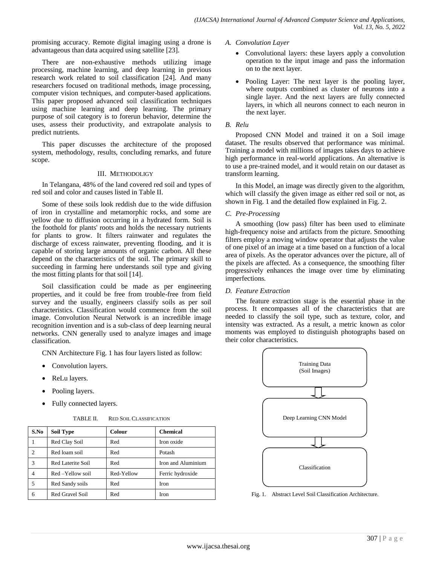promising accuracy. Remote digital imaging using a drone is advantageous than data acquired using satellite [23].

There are non-exhaustive methods utilizing image processing, machine learning, and deep learning in previous research work related to soil classification [24]. And many researchers focused on traditional methods, image processing, computer vision techniques, and computer-based applications. This paper proposed advanced soil classification techniques using machine learning and deep learning. The primary purpose of soil category is to forerun behavior, determine the uses, assess their productivity, and extrapolate analysis to predict nutrients.

This paper discusses the architecture of the proposed system, methodology, results, concluding remarks, and future scope.

### III. METHODOLIGY

In Telangana, 48% of the land covered red soil and types of red soil and color and causes listed in Table II.

Some of these soils look reddish due to the wide diffusion of iron in crystalline and metamorphic rocks, and some are yellow due to diffusion occurring in a hydrated form. Soil is the foothold for plants' roots and holds the necessary nutrients for plants to grow. It filters rainwater and regulates the discharge of excess rainwater, preventing flooding, and it is capable of storing large amounts of organic carbon. All these depend on the characteristics of the soil. The primary skill to succeeding in farming here understands soil type and giving the most fitting plants for that soil [14].

Soil classification could be made as per engineering properties, and it could be free from trouble-free from field survey and the usually, engineers classify soils as per soil characteristics. Classification would commence from the soil image. Convolution Neural Network is an incredible image recognition invention and is a sub-class of deep learning neural networks. CNN generally used to analyze images and image classification.

CNN Architecture Fig. 1 has four layers listed as follow:

- Convolution layers.
- ReLu layers.
- Pooling layers.
- Fully connected layers.

| S.No           | <b>Soil Type</b>  | Colour     | <b>Chemical</b>    |  |
|----------------|-------------------|------------|--------------------|--|
|                | Red Clay Soil     | Red        | Iron oxide         |  |
| $\overline{c}$ | Red loam soil     | Red        | Potash             |  |
| 3              | Red Laterite Soil | Red        | Iron and Aluminium |  |
| 4              | Red-Yellow soil   | Red-Yellow | Ferric hydroxide   |  |
| 5              | Red Sandy soils   | Red        | Iron               |  |
| 6              | Red Gravel Soil   | Red        | Iron               |  |

TABLE II. RED SOIL CLASSIFICATION

*A. Convolution Layer*

- Convolutional layers: these layers apply a convolution operation to the input image and pass the information on to the next layer.
- Pooling Layer: The next layer is the pooling layer, where outputs combined as cluster of neurons into a single layer. And the next layers are fully connected layers, in which all neurons connect to each neuron in the next layer.

# *B. Relu*

Proposed CNN Model and trained it on a Soil image dataset. The results observed that performance was minimal. Training a model with millions of images takes days to achieve high performance in real-world applications. An alternative is to use a pre-trained model, and it would retain on our dataset as transform learning.

In this Model, an image was directly given to the algorithm, which will classify the given image as either red soil or not, as shown in Fig. 1 and the detailed flow explained in Fig. 2.

# *C. Pre-Processing*

A smoothing (low pass) filter has been used to eliminate high-frequency noise and artifacts from the picture. Smoothing filters employ a moving window operator that adjusts the value of one pixel of an image at a time based on a function of a local area of pixels. As the operator advances over the picture, all of the pixels are affected. As a consequence, the smoothing filter progressively enhances the image over time by eliminating imperfections.

### *D. Feature Extraction*

The feature extraction stage is the essential phase in the process. It encompasses all of the characteristics that are needed to classify the soil type, such as texture, color, and intensity was extracted. As a result, a metric known as color moments was employed to distinguish photographs based on their color characteristics.



Fig. 1. Abstract Level Soil Classification Architecture.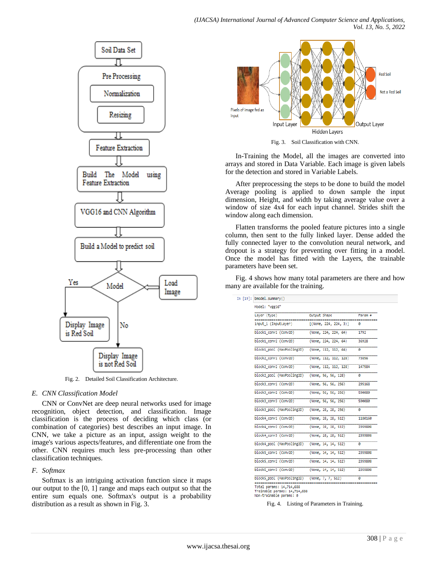

Fig. 2. Detailed Soil Classification Architecture.

### *E. CNN Classification Model*

CNN or ConvNet are deep neural networks used for image recognition, object detection, and classification. Image classification is the process of deciding which class (or combination of categories) best describes an input image. In CNN, we take a picture as an input, assign weight to the image's various aspects/features, and differentiate one from the other. CNN requires much less pre-processing than other classification techniques.

# *F. Softmax*

Softmax is an intriguing activation function since it maps our output to the [0, 1] range and maps each output so that the entire sum equals one. Softmax's output is a probability distribution as a result as shown in Fig. 3.



Fig. 3. Soil Classification with CNN.

In-Training the Model, all the images are converted into arrays and stored in Data Variable. Each image is given labels for the detection and stored in Variable Labels.

After preprocessing the steps to be done to build the model Average pooling is applied to down sample the input dimension, Height, and width by taking average value over a window of size 4x4 for each input channel. Strides shift the window along each dimension.

Flatten transforms the pooled feature pictures into a single column, then sent to the fully linked layer. Dense added the fully connected layer to the convolution neural network, and dropout is a strategy for preventing over fitting in a model. Once the model has fitted with the Layers, the trainable parameters have been set.

Fig. 4 shows how many total parameters are there and how many are available for the training.

| Layer (type)               | Output Shape          | Param # |
|----------------------------|-----------------------|---------|
| input 1 (InputLayer)       | (None, 224, 224, 3)   | ø       |
| block1 conv1 (Conv2D)      | (None, 224, 224, 64)  | 1792    |
| block1 conv2 (Conv2D)      | (None, 224, 224, 64)  | 36928   |
| block1_pool (MaxPooling2D) | (None, 112, 112, 64)  | ø       |
| block2 conv1 (Conv2D)      | (None, 112, 112, 128) | 73856   |
| block2 conv2 (Conv2D)      | (None, 112, 112, 128) | 147584  |
| block2 pool (MaxPooling2D) | (None, 56, 56, 128)   | 0       |
| block3_conv1 (Conv2D)      | (None, 56, 56, 256)   | 295168  |
| block3_conv2 (Conv2D)      | (None, 56, 56, 256)   | 590080  |
| block3_conv3 (Conv2D)      | (None, 56, 56, 256)   | 590080  |
| block3 pool (MaxPooling2D) | (None, 28, 28, 256)   | ø       |
| block4 conv1 (Conv2D)      | (None, 28, 28, 512)   | 1180160 |
| block4 conv2 (Conv2D)      | (None, 28, 28, 512)   | 2359808 |
| block4 conv3 (Conv2D)      | (None, 28, 28, 512)   | 2359808 |
| block4 pool (MaxPooling2D) | (None, 14, 14, 512)   | ø       |
| block5 conv1 (Conv2D)      | (None, 14, 14, 512)   | 2359808 |
| block5 conv2 (Conv2D)      | (None, 14, 14, 512)   | 2359808 |
| block5_conv3 (Conv2D)      | (None, 14, 14, 512)   | 2359808 |
| block5 pool (MaxPooling2D) | (None, 7, 7, 512)     | a       |

Trainable params: 14,714,688<br>Non-trainable params: 0

Fig. 4. Listing of Parameters in Training.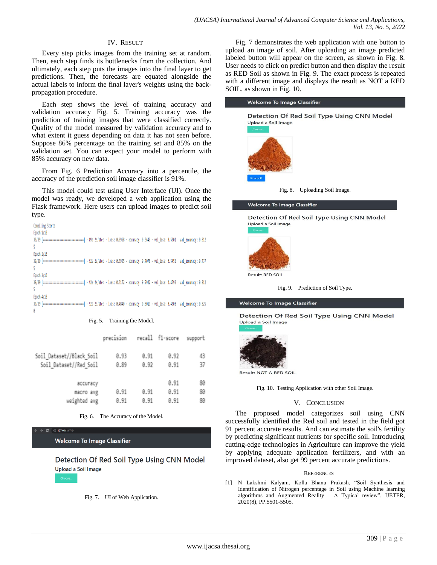#### IV. RESULT

Every step picks images from the training set at random. Then, each step finds its bottlenecks from the collection. And ultimately, each step puts the images into the final layer to get predictions. Then, the forecasts are equated alongside the actual labels to inform the final layer's weights using the backpropagation procedure.

Each step shows the level of training accuracy and validation accuracy Fig. 5. Training accuracy was the prediction of training images that were classified correctly. Quality of the model measured by validation accuracy and to what extent it guess depending on data it has not seen before. Suppose 86% percentage on the training set and 85% on the validation set. You can expect your model to perform with 85% accuracy on new data.

From Fig. 6 Prediction Accuracy into a percentile, the accuracy of the prediction soil image classifier is 91%.

This model could test using User Interface (UI). Once the model was ready, we developed a web application using the Flask framework. Here users can upload images to predict soil type.

| Compiling Starts                                                                                                                 |
|----------------------------------------------------------------------------------------------------------------------------------|
| Epoch 1/10                                                                                                                       |
| 39/39 [==============================] - 89s 2s/step - loss: 0.6968 - accuracy: 0.5649 - val_loss: 0.5901 - val_accuracy: 0.812  |
|                                                                                                                                  |
| Epoch 2/10                                                                                                                       |
| 39/39 [===============================] - 92s 2s/step - loss: 0.5955 - accuracy: 0.7078 - val loss: 0.5456 - val accuracy: 0.737 |
|                                                                                                                                  |
| Epoch 3/10                                                                                                                       |
| 39/39 [============================] - 92s 2s/step - loss: 0.5172 - accuracy: 0.7922 - val loss: 0.4793 - val accuracy: 0.812    |
|                                                                                                                                  |
| Epoch 4/10                                                                                                                       |
| 39/39 [=============================] - 92s 2s/step - loss: 0.4840 - accuracy: 0.8019 - val loss: 0.4508 - val accuracy: 0.825   |
| Ø                                                                                                                                |
|                                                                                                                                  |

#### Fig. 5. Training the Model.

|                                                    | precision    |              | recall f1-score      | support        |
|----------------------------------------------------|--------------|--------------|----------------------|----------------|
| Soil_Dataset//Black_Soil<br>Soil Dataset//Red_Soil | 0.93<br>0.89 | 0.91<br>0.92 | 0.92<br>0.91         | 43<br>37       |
| accuracy<br>macro avg<br>weighted avg              | 0.91<br>0.91 | 0.91<br>0.91 | 0.91<br>0.91<br>0.91 | 80<br>80<br>80 |

Fig. 6. The Accuracy of the Model.

**CD** 127.0.0.1:67

**Welcome To Image Classifier** 

Detection Of Red Soil Type Using CNN Model Upload a Soil Image

Fig. 7. UI of Web Application.

Fig. 7 demonstrates the web application with one button to upload an image of soil. After uploading an image predicted labeled button will appear on the screen, as shown in Fig. 8. User needs to click on predict button and then display the result as RED Soil as shown in Fig. 9. The exact process is repeated with a different image and displays the result as NOT a RED SOIL, as shown in Fig. 10.

# **Welcome To Image Classifier** Detection Of Red Soil Type Using CNN Model Upload a Soil Image





Welcome To Image Classifier

Detection Of Red Soil Type Using CNN Model Upload a Soil Image





**Welcome To Image Classifier** 

Detection Of Red Soil Type Using CNN Model Upload a Soil Image



Result: NOT A RED SOIL

Fig. 10. Testing Application with other Soil Image.

#### V. CONCLUSION

The proposed model categorizes soil using CNN successfully identified the Red soil and tested in the field got 91 percent accurate results. And can estimate the soil's fertility by predicting significant nutrients for specific soil. Introducing cutting-edge technologies in Agriculture can improve the yield by applying adequate application fertilizers, and with an improved dataset, also get 99 percent accurate predictions.

#### **REFERENCES**

[1] N Lakshmi Kalyani, Kolla Bhanu Prakash, "Soil Synthesis and Identification of Nitrogen percentage in Soil using Machine learning algorithms and Augmented Reality – A Typical review", IJETER, 2020(8), PP.5501-5505.